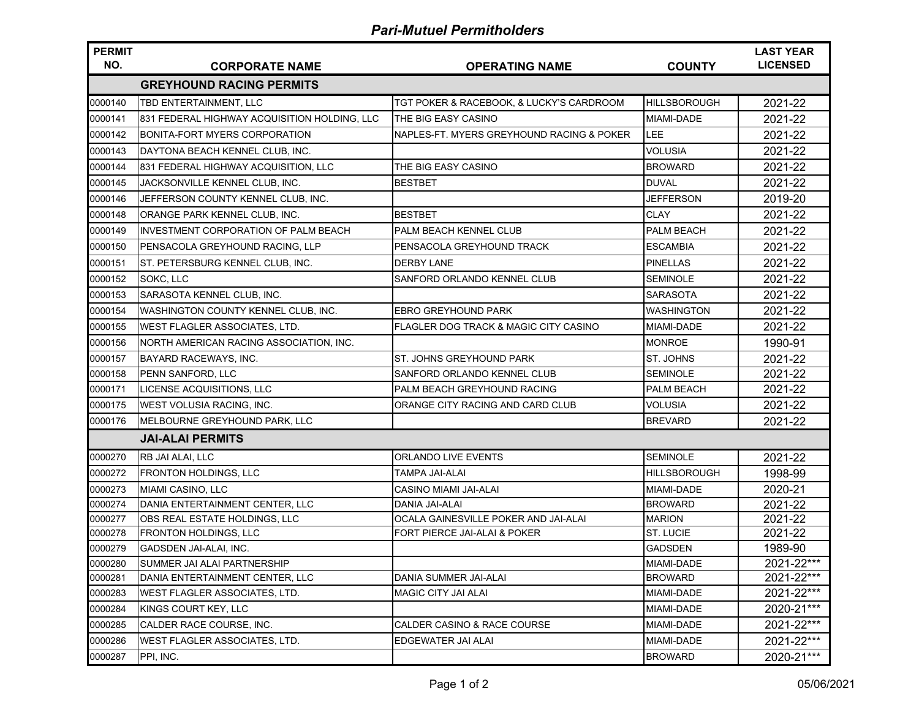## *Pari-Mutuel Permitholders*

| <b>PERMIT</b><br>NO. | <b>CORPORATE NAME</b>                        | <b>OPERATING NAME</b>                     | <b>COUNTY</b>       | <b>LAST YEAR</b><br><b>LICENSED</b> |  |  |  |
|----------------------|----------------------------------------------|-------------------------------------------|---------------------|-------------------------------------|--|--|--|
|                      |                                              |                                           |                     |                                     |  |  |  |
|                      | <b>GREYHOUND RACING PERMITS</b>              |                                           |                     |                                     |  |  |  |
| 0000140              | TBD ENTERTAINMENT, LLC                       | TGT POKER & RACEBOOK, & LUCKY'S CARDROOM  | <b>HILLSBOROUGH</b> | 2021-22                             |  |  |  |
| 0000141              | 831 FEDERAL HIGHWAY ACQUISITION HOLDING, LLC | THE BIG EASY CASINO                       | MIAMI-DADE          | 2021-22                             |  |  |  |
| 0000142              | BONITA-FORT MYERS CORPORATION                | NAPLES-FT. MYERS GREYHOUND RACING & POKER | <b>LEE</b>          | 2021-22                             |  |  |  |
| 0000143              | DAYTONA BEACH KENNEL CLUB, INC.              |                                           | <b>VOLUSIA</b>      | 2021-22                             |  |  |  |
| 0000144              | 831 FEDERAL HIGHWAY ACQUISITION, LLC         | THE BIG EASY CASINO                       | <b>BROWARD</b>      | 2021-22                             |  |  |  |
| 0000145              | JACKSONVILLE KENNEL CLUB, INC.               | <b>BESTBET</b>                            | <b>DUVAL</b>        | 2021-22                             |  |  |  |
| 0000146              | JEFFERSON COUNTY KENNEL CLUB. INC.           |                                           | <b>JEFFERSON</b>    | 2019-20                             |  |  |  |
| 0000148              | ORANGE PARK KENNEL CLUB, INC.                | <b>BESTBET</b>                            | <b>CLAY</b>         | 2021-22                             |  |  |  |
| 0000149              | <b>INVESTMENT CORPORATION OF PALM BEACH</b>  | PALM BEACH KENNEL CLUB                    | PALM BEACH          | 2021-22                             |  |  |  |
| 0000150              | PENSACOLA GREYHOUND RACING, LLP              | PENSACOLA GREYHOUND TRACK                 | <b>ESCAMBIA</b>     | 2021-22                             |  |  |  |
| 0000151              | ST. PETERSBURG KENNEL CLUB, INC.             | <b>DERBY LANE</b>                         | <b>PINELLAS</b>     | 2021-22                             |  |  |  |
| 0000152              | SOKC, LLC                                    | SANFORD ORLANDO KENNEL CLUB               | <b>SEMINOLE</b>     | 2021-22                             |  |  |  |
| 0000153              | SARASOTA KENNEL CLUB, INC.                   |                                           | <b>SARASOTA</b>     | 2021-22                             |  |  |  |
| 0000154              | WASHINGTON COUNTY KENNEL CLUB, INC.          | <b>EBRO GREYHOUND PARK</b>                | <b>WASHINGTON</b>   | 2021-22                             |  |  |  |
| 0000155              | WEST FLAGLER ASSOCIATES, LTD.                | FLAGLER DOG TRACK & MAGIC CITY CASINO     | MIAMI-DADE          | 2021-22                             |  |  |  |
| 0000156              | NORTH AMERICAN RACING ASSOCIATION, INC.      |                                           | <b>MONROE</b>       | 1990-91                             |  |  |  |
| 0000157              | <b>BAYARD RACEWAYS, INC.</b>                 | ST. JOHNS GREYHOUND PARK                  | <b>ST. JOHNS</b>    | 2021-22                             |  |  |  |
| 0000158              | PENN SANFORD, LLC                            | SANFORD ORLANDO KENNEL CLUB               | <b>SEMINOLE</b>     | 2021-22                             |  |  |  |
| 0000171              | LICENSE ACQUISITIONS, LLC                    | PALM BEACH GREYHOUND RACING               | PALM BEACH          | 2021-22                             |  |  |  |
| 0000175              | <b>WEST VOLUSIA RACING, INC.</b>             | ORANGE CITY RACING AND CARD CLUB          | <b>VOLUSIA</b>      | 2021-22                             |  |  |  |
| 0000176              | MELBOURNE GREYHOUND PARK, LLC                |                                           | <b>BREVARD</b>      | 2021-22                             |  |  |  |
|                      | <b>JAI-ALAI PERMITS</b>                      |                                           |                     |                                     |  |  |  |
| 0000270              | RB JAI ALAI, LLC                             | ORLANDO LIVE EVENTS                       | <b>SEMINOLE</b>     | 2021-22                             |  |  |  |
| 0000272              | <b>FRONTON HOLDINGS, LLC</b>                 | TAMPA JAI-ALAI                            | <b>HILLSBOROUGH</b> | 1998-99                             |  |  |  |
| 0000273              | MIAMI CASINO, LLC                            | CASINO MIAMI JAI-ALAI                     | MIAMI-DADE          | 2020-21                             |  |  |  |
| 0000274              | DANIA ENTERTAINMENT CENTER, LLC              | <b>DANIA JAI-ALAI</b>                     | <b>BROWARD</b>      | 2021-22                             |  |  |  |
| 0000277              | OBS REAL ESTATE HOLDINGS, LLC                | OCALA GAINESVILLE POKER AND JAI-ALAI      | <b>MARION</b>       | 2021-22                             |  |  |  |
| 0000278              | FRONTON HOLDINGS, LLC                        | FORT PIERCE JAI-ALAI & POKER              | ST. LUCIE           | 2021-22                             |  |  |  |
| 0000279              | GADSDEN JAI-ALAI, INC.                       |                                           | <b>GADSDEN</b>      | 1989-90                             |  |  |  |
| 0000280              | SUMMER JAI ALAI PARTNERSHIP                  |                                           | MIAMI-DADE          | 2021-22***                          |  |  |  |
| 0000281              | DANIA ENTERTAINMENT CENTER, LLC              | <b>DANIA SUMMER JAI-ALAI</b>              | <b>BROWARD</b>      | 2021-22***                          |  |  |  |
| 0000283              | <b>WEST FLAGLER ASSOCIATES, LTD.</b>         | <b>MAGIC CITY JAI ALAI</b>                | MIAMI-DADE          | 2021-22***                          |  |  |  |
| 0000284              | KINGS COURT KEY, LLC                         |                                           | MIAMI-DADE          | 2020-21***                          |  |  |  |
| 0000285              | CALDER RACE COURSE. INC.                     | CALDER CASINO & RACE COURSE               | MIAMI-DADE          | 2021-22***                          |  |  |  |
| 0000286              | <b>WEST FLAGLER ASSOCIATES, LTD.</b>         | EDGEWATER JAI ALAI                        | MIAMI-DADE          | 2021-22***                          |  |  |  |
| 0000287              | PPI, INC.                                    |                                           | <b>BROWARD</b>      | 2020-21***                          |  |  |  |